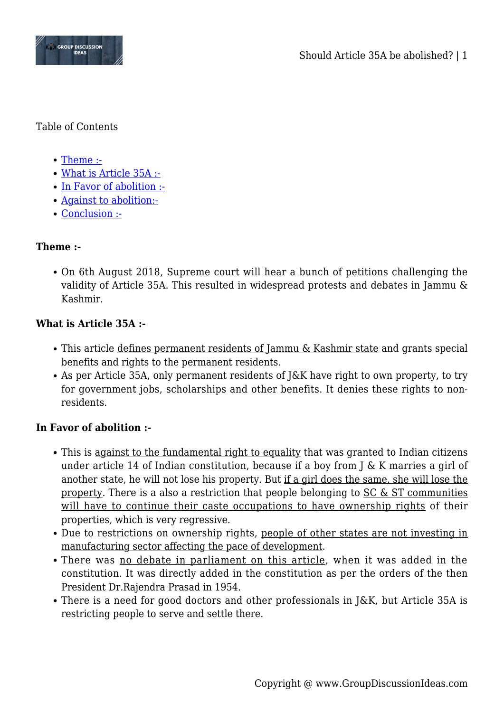

#### Table of Contents

- [Theme :-](#page--1-0)
- [What is Article 35A :-](#page--1-0)
- [In Favor of abolition :-](#page--1-0)
- [Against to abolition:-](#page--1-0)
- [Conclusion :-](#page--1-0)

# **Theme :-**

On 6th August 2018, Supreme court will hear a bunch of petitions challenging the validity of Article 35A. This resulted in widespread protests and debates in Jammu & Kashmir.

# **What is Article 35A :-**

- This article defines permanent residents of Jammu & Kashmir state and grants special benefits and rights to the permanent residents.
- As per Article 35A, only permanent residents of J&K have right to own property, to try for government jobs, scholarships and other benefits. It denies these rights to nonresidents.

# **In Favor of abolition :-**

- This is against to the fundamental right to equality that was granted to Indian citizens under article 14 of Indian constitution, because if a boy from J & K marries a girl of another state, he will not lose his property. But if a girl does the same, she will lose the property. There is a also a restriction that people belonging to  $SC & ST$  communities will have to continue their caste occupations to have ownership rights of their properties, which is very regressive.
- Due to restrictions on ownership rights, people of other states are not investing in manufacturing sector affecting the pace of development.
- There was no debate in parliament on this article, when it was added in the constitution. It was directly added in the constitution as per the orders of the then President Dr.Rajendra Prasad in 1954.
- There is a need for good doctors and other professionals in J&K, but Article 35A is restricting people to serve and settle there.